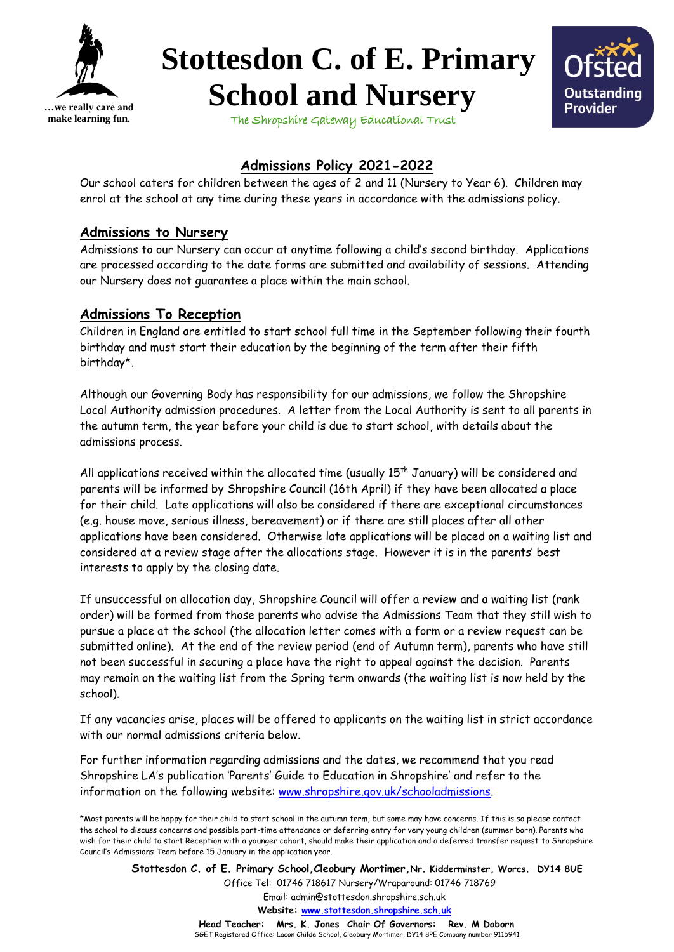

## **Stottesdon C. of E. Primary School and Nursery**



The Shropshire Gateway Educational Trust

## **Admissions Policy 2021-2022**

Our school caters for children between the ages of 2 and 11 (Nursery to Year 6). Children may enrol at the school at any time during these years in accordance with the admissions policy.

## **Admissions to Nursery**

Admissions to our Nursery can occur at anytime following a child's second birthday. Applications are processed according to the date forms are submitted and availability of sessions. Attending our Nursery does not guarantee a place within the main school.

## **Admissions To Reception**

Children in England are entitled to start school full time in the September following their fourth birthday and must start their education by the beginning of the term after their fifth birthday\*.

Although our Governing Body has responsibility for our admissions, we follow the Shropshire Local Authority admission procedures. A letter from the Local Authority is sent to all parents in the autumn term, the year before your child is due to start school, with details about the admissions process.

All applications received within the allocated time (usually  $15<sup>th</sup>$  January) will be considered and parents will be informed by Shropshire Council (16th April) if they have been allocated a place for their child. Late applications will also be considered if there are exceptional circumstances (e.g. house move, serious illness, bereavement) or if there are still places after all other applications have been considered. Otherwise late applications will be placed on a waiting list and considered at a review stage after the allocations stage. However it is in the parents' best interests to apply by the closing date.

If unsuccessful on allocation day, Shropshire Council will offer a review and a waiting list (rank order) will be formed from those parents who advise the Admissions Team that they still wish to pursue a place at the school (the allocation letter comes with a form or a review request can be submitted online). At the end of the review period (end of Autumn term), parents who have still not been successful in securing a place have the right to appeal against the decision. Parents may remain on the waiting list from the Spring term onwards (the waiting list is now held by the school).

If any vacancies arise, places will be offered to applicants on the waiting list in strict accordance with our normal admissions criteria below.

For further information regarding admissions and the dates, we recommend that you read Shropshire LA's publication 'Parents' Guide to Education in Shropshire' and refer to the information on the following website: [www.shropshire.gov.uk/schooladmissions.](http://www.shropshire.gov.uk/schooladmissions)

**Stottesdon C. of E. Primary School,Cleobury Mortimer,Nr. Kidderminster, Worcs. DY14 8UE** Office Tel: 01746 718617 Nursery/Wraparound: 01746 718769 Email: admin@stottesdon.shropshire.sch.uk  **Website: [www.stottesdon.shropshire.sch.uk](http://www.stottesdon.shropshire.sch.uk/)**

> **Head Teacher: Mrs. K. Jones Chair Of Governors: Rev. M Daborn**  SGET Registered Office: Lacon Childe School, Cleobury Mortimer, DY14 8PE Company number 9115941

<sup>\*</sup>Most parents will be happy for their child to start school in the autumn term, but some may have concerns. If this is so please contact the school to discuss concerns and possible part-time attendance or deferring entry for very young children (summer born). Parents who wish for their child to start Reception with a younger cohort, should make their application and a deferred transfer request to Shropshire Council's Admissions Team before 15 January in the application year.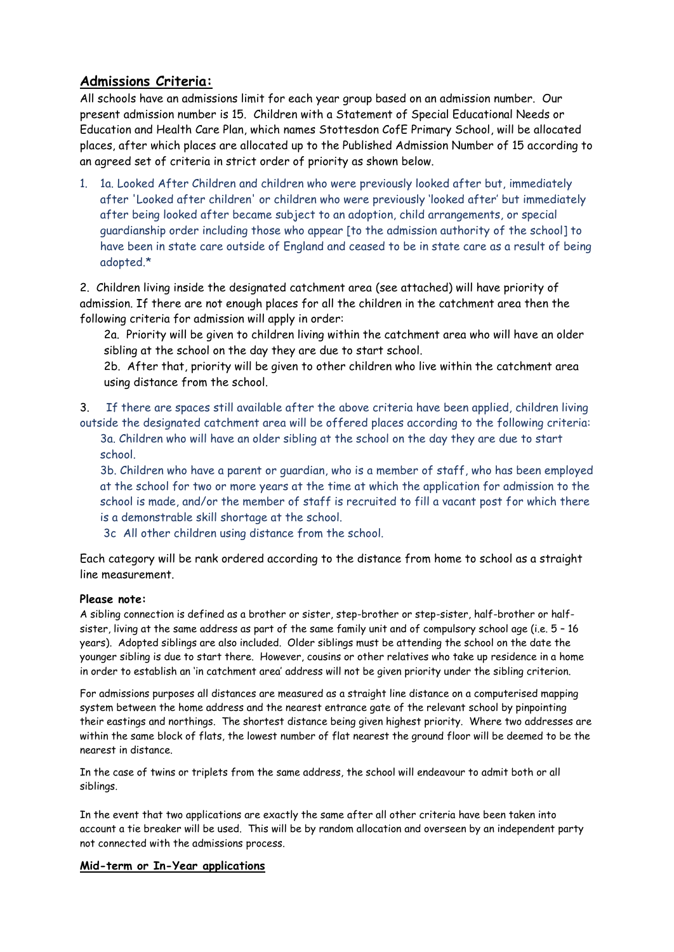### **Admissions Criteria:**

All schools have an admissions limit for each year group based on an admission number. Our present admission number is 15. Children with a Statement of Special Educational Needs or Education and Health Care Plan, which names Stottesdon CofE Primary School, will be allocated places, after which places are allocated up to the Published Admission Number of 15 according to an agreed set of criteria in strict order of priority as shown below.

1. 1a. Looked After Children and children who were previously looked after but, immediately after 'Looked after children' or children who were previously 'looked after' but immediately after being looked after became subject to an adoption, child arrangements, or special guardianship order including those who appear [to the admission authority of the school] to have been in state care outside of England and ceased to be in state care as a result of being adopted.\*

2. Children living inside the designated catchment area (see attached) will have priority of admission. If there are not enough places for all the children in the catchment area then the following criteria for admission will apply in order:

2a. Priority will be given to children living within the catchment area who will have an older sibling at the school on the day they are due to start school.

2b. After that, priority will be given to other children who live within the catchment area using distance from the school.

3. If there are spaces still available after the above criteria have been applied, children living outside the designated catchment area will be offered places according to the following criteria:

3a. Children who will have an older sibling at the school on the day they are due to start school.

3b. Children who have a parent or guardian, who is a member of staff, who has been employed at the school for two or more years at the time at which the application for admission to the school is made, and/or the member of staff is recruited to fill a vacant post for which there is a demonstrable skill shortage at the school.

3c All other children using distance from the school.

Each category will be rank ordered according to the distance from home to school as a straight line measurement.

#### **Please note:**

A sibling connection is defined as a brother or sister, step-brother or step-sister, half-brother or halfsister, living at the same address as part of the same family unit and of compulsory school age (i.e. 5 – 16 years). Adopted siblings are also included. Older siblings must be attending the school on the date the younger sibling is due to start there. However, cousins or other relatives who take up residence in a home in order to establish an 'in catchment area' address will not be given priority under the sibling criterion.

For admissions purposes all distances are measured as a straight line distance on a computerised mapping system between the home address and the nearest entrance gate of the relevant school by pinpointing their eastings and northings. The shortest distance being given highest priority. Where two addresses are within the same block of flats, the lowest number of flat nearest the ground floor will be deemed to be the nearest in distance.

In the case of twins or triplets from the same address, the school will endeavour to admit both or all siblings.

In the event that two applications are exactly the same after all other criteria have been taken into account a tie breaker will be used. This will be by random allocation and overseen by an independent party not connected with the admissions process.

#### **Mid-term or In-Year applications**